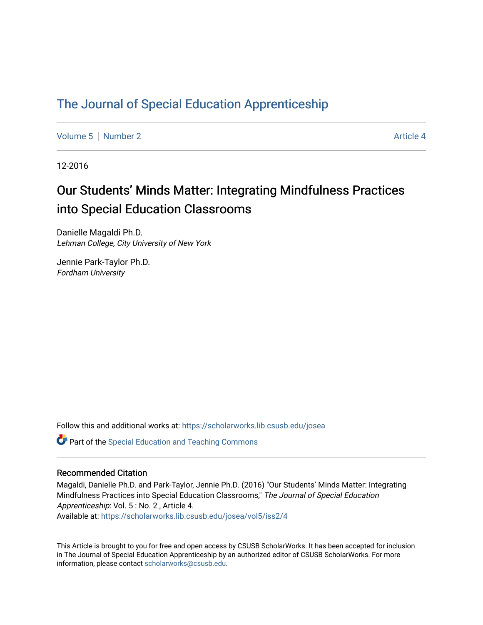# [The Journal of Special Education Apprenticeship](https://scholarworks.lib.csusb.edu/josea)

[Volume 5](https://scholarworks.lib.csusb.edu/josea/vol5) [Number 2](https://scholarworks.lib.csusb.edu/josea/vol5/iss2) Article 4

12-2016

# Our Students' Minds Matter: Integrating Mindfulness Practices into Special Education Classrooms

Danielle Magaldi Ph.D. Lehman College, City University of New York

Jennie Park-Taylor Ph.D. Fordham University

Follow this and additional works at: [https://scholarworks.lib.csusb.edu/josea](https://scholarworks.lib.csusb.edu/josea?utm_source=scholarworks.lib.csusb.edu%2Fjosea%2Fvol5%2Fiss2%2F4&utm_medium=PDF&utm_campaign=PDFCoverPages) 

Part of the [Special Education and Teaching Commons](http://network.bepress.com/hgg/discipline/801?utm_source=scholarworks.lib.csusb.edu%2Fjosea%2Fvol5%2Fiss2%2F4&utm_medium=PDF&utm_campaign=PDFCoverPages) 

#### Recommended Citation

Magaldi, Danielle Ph.D. and Park-Taylor, Jennie Ph.D. (2016) "Our Students' Minds Matter: Integrating Mindfulness Practices into Special Education Classrooms," The Journal of Special Education Apprenticeship: Vol. 5 : No. 2 , Article 4. Available at: [https://scholarworks.lib.csusb.edu/josea/vol5/iss2/4](https://scholarworks.lib.csusb.edu/josea/vol5/iss2/4?utm_source=scholarworks.lib.csusb.edu%2Fjosea%2Fvol5%2Fiss2%2F4&utm_medium=PDF&utm_campaign=PDFCoverPages) 

This Article is brought to you for free and open access by CSUSB ScholarWorks. It has been accepted for inclusion in The Journal of Special Education Apprenticeship by an authorized editor of CSUSB ScholarWorks. For more information, please contact [scholarworks@csusb.edu.](mailto:scholarworks@csusb.edu)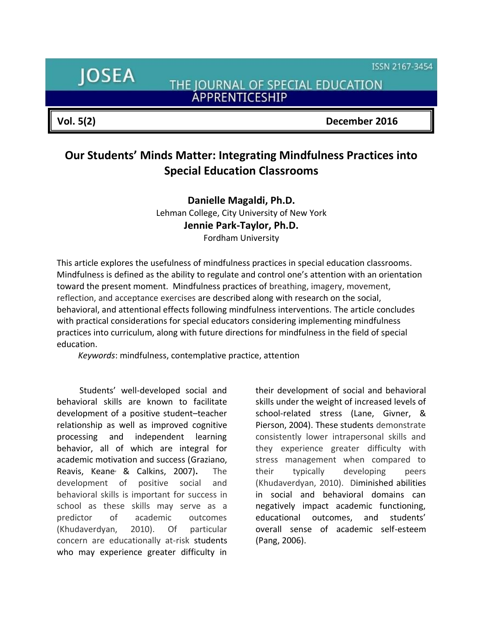ISSN 2167-3454

**JOSEA** 

THE JOURNAL OF SPECIAL EDUCATION ÄPPRENTICESHIP

**Vol. 5(2) December 2016**

# **Our Students' Minds Matter: Integrating Mindfulness Practices into Special Education Classrooms**

**Danielle Magaldi, Ph.D.** Lehman College, City University of New York **Jennie Park-Taylor, Ph.D.** Fordham University

This article explores the usefulness of mindfulness practices in special education classrooms. Mindfulness is defined as the ability to regulate and control one's attention with an orientation toward the present moment. Mindfulness practices of breathing, imagery, movement, reflection, and acceptance exercises are described along with research on the social, behavioral, and attentional effects following mindfulness interventions. The article concludes with practical considerations for special educators considering implementing mindfulness practices into curriculum, along with future directions for mindfulness in the field of special education.

*Keywords*: mindfulness, contemplative practice, attention

Students' well-developed social and behavioral skills are known to facilitate development of a positive student–teacher relationship as well as improved cognitive processing and independent learning behavior, all of which are integral for academic motivation and success (Graziano, Reavis, Keane, & Calkins, 2007)**.** The development of positive social and behavioral skills is important for success in school as these skills may serve as a predictor of academic outcomes (Khudaverdyan, 2010). Of particular concern are educationally at-risk students who may experience greater difficulty in

their development of social and behavioral skills under the weight of increased levels of school-related stress (Lane, Givner, & Pierson, 2004). These students demonstrate consistently lower intrapersonal skills and they experience greater difficulty with stress management when compared to their typically developing peers (Khudaverdyan, 2010). Diminished abilities in social and behavioral domains can negatively impact academic functioning, educational outcomes, and students' overall sense of academic self-esteem (Pang, 2006).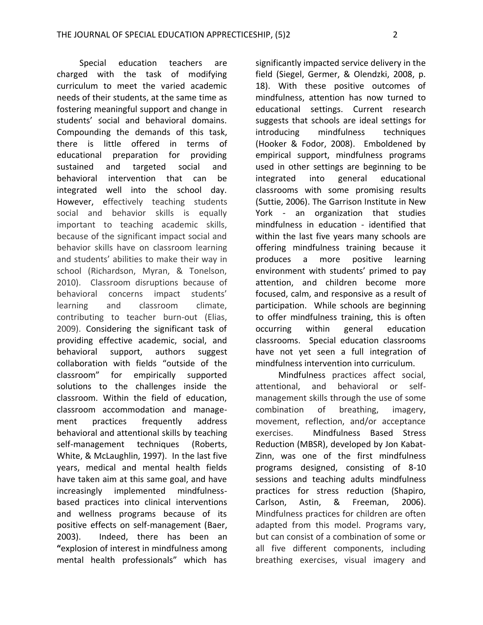Special education teachers are charged with the task of modifying curriculum to meet the varied academic needs of their students, at the same time as fostering meaningful support and change in students' social and behavioral domains. Compounding the demands of this task, there is little offered in terms of educational preparation for providing sustained and targeted social and behavioral intervention that can be integrated well into the school day. However, effectively teaching students social and behavior skills is equally important to teaching academic skills, because of the significant impact social and behavior skills have on classroom learning and students' abilities to make their way in school (Richardson, Myran, & Tonelson, 2010). Classroom disruptions because of behavioral concerns impact students' learning and classroom climate, contributing to teacher burn-out (Elias, 2009). Considering the significant task of providing effective academic, social, and behavioral support, authors suggest collaboration with fields "outside of the classroom" for empirically supported solutions to the challenges inside the classroom. Within the field of education, classroom accommodation and management practices frequently address behavioral and attentional skills by teaching self-management techniques (Roberts, White, & McLaughlin, 1997). In the last five years, medical and mental health fields have taken aim at this same goal, and have increasingly implemented mindfulnessbased practices into clinical interventions and wellness programs because of its positive effects on self-management (Baer, 2003). Indeed, there has been an **"**explosion of interest in mindfulness among mental health professionals" which has

significantly impacted service delivery in the field (Siegel, Germer, & Olendzki, 2008, p. 18). With these positive outcomes of mindfulness, attention has now turned to educational settings. Current research suggests that schools are ideal settings for introducing mindfulness techniques (Hooker & Fodor, 2008). Emboldened by empirical support, mindfulness programs used in other settings are beginning to be integrated into general educational classrooms with some promising results (Suttie, 2006). The Garrison Institute in New York - an organization that studies mindfulness in education - identified that within the last five years many schools are offering mindfulness training because it produces a more positive learning environment with students' primed to pay attention, and children become more focused, calm, and responsive as a result of participation. While schools are beginning to offer mindfulness training, this is often occurring within general education classrooms. Special education classrooms have not yet seen a full integration of mindfulness intervention into curriculum.

Mindfulness practices affect social, attentional, and behavioral or selfmanagement skills through the use of some combination of breathing, imagery, movement, reflection, and/or acceptance exercises. Mindfulness Based Stress Reduction (MBSR), developed by Jon Kabat-Zinn, was one of the first mindfulness programs designed, consisting of 8-10 sessions and teaching adults mindfulness practices for stress reduction (Shapiro, Carlson, Astin, & Freeman, 2006). Mindfulness practices for children are often adapted from this model. Programs vary, but can consist of a combination of some or all five different components, including breathing exercises, visual imagery and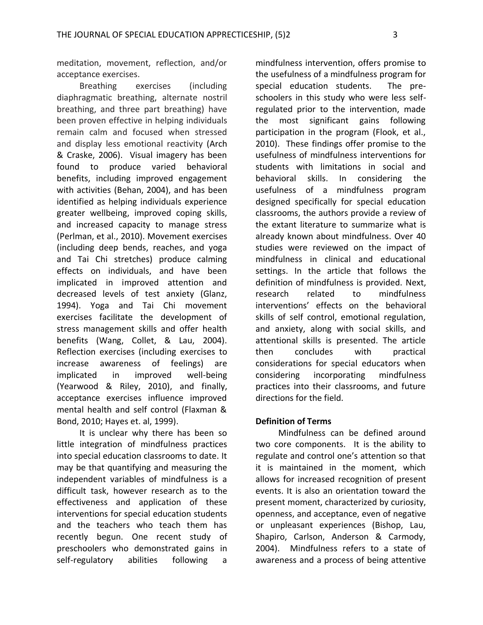meditation, movement, reflection, and/or acceptance exercises.

Breathing exercises (including diaphragmatic breathing, alternate nostril breathing, and three part breathing) have been proven effective in helping individuals remain calm and focused when stressed and display less emotional reactivity (Arch & Craske, 2006). Visual imagery has been found to produce varied behavioral benefits, including improved engagement with activities (Behan, 2004), and has been identified as helping individuals experience greater wellbeing, improved coping skills, and increased capacity to manage stress (Perlman, et al., 2010). Movement exercises (including deep bends, reaches, and yoga and Tai Chi stretches) produce calming effects on individuals, and have been implicated in improved attention and decreased levels of test anxiety (Glanz, 1994). Yoga and Tai Chi movement exercises facilitate the development of stress management skills and offer health benefits (Wang, Collet, & Lau, 2004). Reflection exercises (including exercises to increase awareness of feelings) are implicated in improved well-being (Yearwood & Riley, 2010), and finally, acceptance exercises influence improved mental health and self control (Flaxman & Bond, 2010; Hayes et. al, 1999).

It is unclear why there has been so little integration of mindfulness practices into special education classrooms to date. It may be that quantifying and measuring the independent variables of mindfulness is a difficult task, however research as to the effectiveness and application of these interventions for special education students and the teachers who teach them has recently begun. One recent study of preschoolers who demonstrated gains in self-regulatory abilities following a

mindfulness intervention, offers promise to the usefulness of a mindfulness program for special education students. The preschoolers in this study who were less selfregulated prior to the intervention, made the most significant gains following participation in the program (Flook, et al., 2010). These findings offer promise to the usefulness of mindfulness interventions for students with limitations in social and behavioral skills. In considering the usefulness of a mindfulness program designed specifically for special education classrooms, the authors provide a review of the extant literature to summarize what is already known about mindfulness. Over 40 studies were reviewed on the impact of mindfulness in clinical and educational settings. In the article that follows the definition of mindfulness is provided. Next, research related to mindfulness interventions' effects on the behavioral skills of self control, emotional regulation, and anxiety, along with social skills, and attentional skills is presented. The article then concludes with practical considerations for special educators when considering incorporating mindfulness practices into their classrooms, and future directions for the field.

#### **Definition of Terms**

Mindfulness can be defined around two core components. It is the ability to regulate and control one's attention so that it is maintained in the moment, which allows for increased recognition of present events. It is also an orientation toward the present moment, characterized by curiosity, openness, and acceptance, even of negative or unpleasant experiences (Bishop, Lau, Shapiro, Carlson, Anderson & Carmody, 2004). Mindfulness refers to a state of awareness and a process of being attentive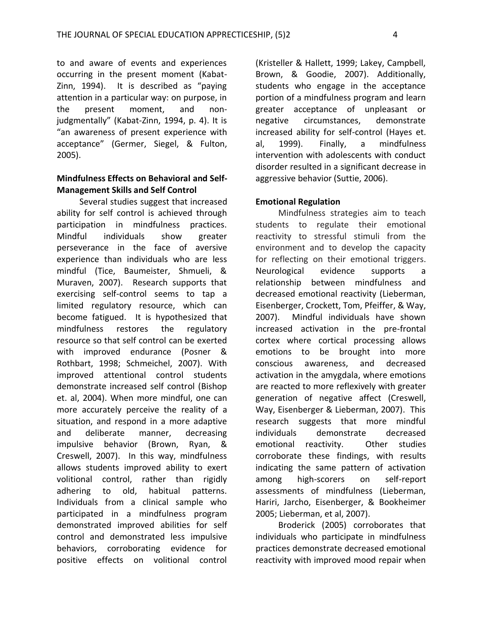to and aware of events and experiences occurring in the present moment (Kabat-Zinn, 1994). It is described as "paying attention in a particular way: on purpose, in the present moment, and nonjudgmentally" (Kabat-Zinn, 1994, p. 4). It is "an awareness of present experience with acceptance" (Germer, Siegel, & Fulton, 2005).

#### **Mindfulness Effects on Behavioral and Self-Management Skills and Self Control**

Several studies suggest that increased ability for self control is achieved through participation in mindfulness practices. Mindful individuals show greater perseverance in the face of aversive experience than individuals who are less mindful (Tice, Baumeister, Shmueli, & Muraven, 2007). Research supports that exercising self-control seems to tap a limited regulatory resource, which can become fatigued. It is hypothesized that mindfulness restores the regulatory resource so that self control can be exerted with improved endurance (Posner & Rothbart, 1998; Schmeichel, 2007). With improved attentional control students demonstrate increased self control (Bishop et. al, 2004). When more mindful, one can more accurately perceive the reality of a situation, and respond in a more adaptive and deliberate manner, decreasing impulsive behavior (Brown, Ryan, & Creswell, 2007). In this way, mindfulness allows students improved ability to exert volitional control, rather than rigidly adhering to old, habitual patterns. Individuals from a clinical sample who participated in a mindfulness program demonstrated improved abilities for self control and demonstrated less impulsive behaviors, corroborating evidence for positive effects on volitional control

(Kristeller & Hallett, 1999; Lakey, Campbell, Brown, & Goodie, 2007). Additionally, students who engage in the acceptance portion of a mindfulness program and learn greater acceptance of unpleasant or negative circumstances, demonstrate increased ability for self-control (Hayes et. al, 1999). Finally, a mindfulness intervention with adolescents with conduct disorder resulted in a significant decrease in aggressive behavior (Suttie, 2006).

#### **Emotional Regulation**

Mindfulness strategies aim to teach students to regulate their emotional reactivity to stressful stimuli from the environment and to develop the capacity for reflecting on their emotional triggers. Neurological evidence supports a relationship between mindfulness and decreased emotional reactivity (Lieberman, Eisenberger, Crockett, Tom, Pfeiffer, & Way, 2007). Mindful individuals have shown increased activation in the pre-frontal cortex where cortical processing allows emotions to be brought into more conscious awareness, and decreased activation in the amygdala, where emotions are reacted to more reflexively with greater generation of negative affect (Creswell, Way, Eisenberger & Lieberman, 2007). This research suggests that more mindful individuals demonstrate decreased emotional reactivity. Other studies corroborate these findings, with results indicating the same pattern of activation among high-scorers on self-report assessments of mindfulness (Lieberman, Hariri, Jarcho, Eisenberger, & Bookheimer 2005; Lieberman, et al, 2007).

Broderick (2005) corroborates that individuals who participate in mindfulness practices demonstrate decreased emotional reactivity with improved mood repair when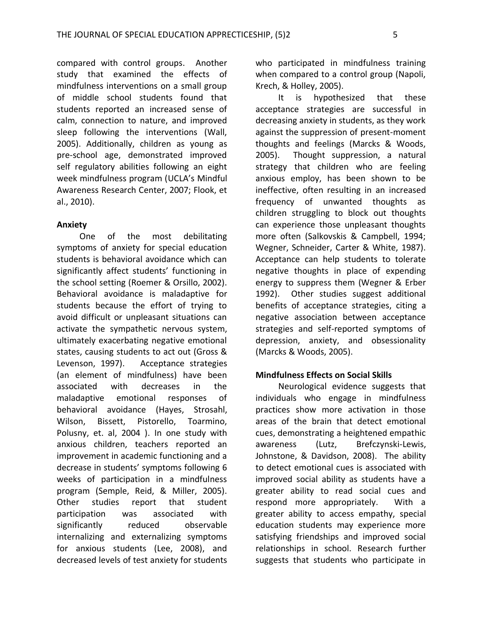compared with control groups. Another study that examined the effects of mindfulness interventions on a small group of middle school students found that students reported an increased sense of calm, connection to nature, and improved sleep following the interventions (Wall, 2005). Additionally, children as young as pre-school age, demonstrated improved self regulatory abilities following an eight week mindfulness program (UCLA's Mindful Awareness Research Center, 2007; Flook, et al., 2010).

#### **Anxiety**

One of the most debilitating symptoms of anxiety for special education students is behavioral avoidance which can significantly affect students' functioning in the school setting (Roemer & Orsillo, 2002). Behavioral avoidance is maladaptive for students because the effort of trying to avoid difficult or unpleasant situations can activate the sympathetic nervous system, ultimately exacerbating negative emotional states, causing students to act out (Gross & Levenson, 1997). Acceptance strategies (an element of mindfulness) have been associated with decreases in the maladaptive emotional responses of behavioral avoidance (Hayes, Strosahl, Wilson, Bissett, Pistorello, Toarmino, Polusny, et. al, 2004 ). In one study with anxious children, teachers reported an improvement in academic functioning and a decrease in students' symptoms following 6 weeks of participation in a mindfulness program (Semple, Reid, & Miller, 2005). Other studies report that student participation was associated with significantly reduced observable internalizing and externalizing symptoms for anxious students (Lee, 2008), and decreased levels of test anxiety for students

who participated in mindfulness training when compared to a control group (Napoli, Krech, & Holley, 2005).

It is hypothesized that these acceptance strategies are successful in decreasing anxiety in students, as they work against the suppression of present-moment thoughts and feelings (Marcks & Woods, 2005). Thought suppression, a natural strategy that children who are feeling anxious employ, has been shown to be ineffective, often resulting in an increased frequency of unwanted thoughts as children struggling to block out thoughts can experience those unpleasant thoughts more often (Salkovskis & Campbell, 1994; Wegner, Schneider, Carter & White, 1987). Acceptance can help students to tolerate negative thoughts in place of expending energy to suppress them (Wegner & Erber 1992). Other studies suggest additional benefits of acceptance strategies, citing a negative association between acceptance strategies and self-reported symptoms of depression, anxiety, and obsessionality (Marcks & Woods, 2005).

## **Mindfulness Effects on Social Skills**

Neurological evidence suggests that individuals who engage in mindfulness practices show more activation in those areas of the brain that detect emotional cues, demonstrating a heightened empathic awareness (Lutz, [Brefczynski-Lewis,](http://www.ncbi.nlm.nih.gov/pubmed?term=%22Brefczynski-Lewis%20J%22%5BAuthor%5D)  [Johnstone, &](http://www.ncbi.nlm.nih.gov/pubmed?term=%22Johnstone%20T%22%5BAuthor%5D) [Davidson,](http://www.ncbi.nlm.nih.gov/pubmed?term=%22Davidson%20RJ%22%5BAuthor%5D) 2008). The ability to detect emotional cues is associated with improved social ability as students have a greater ability to read social cues and respond more appropriately. With a greater ability to access empathy, special education students may experience more satisfying friendships and improved social relationships in school. Research further suggests that students who participate in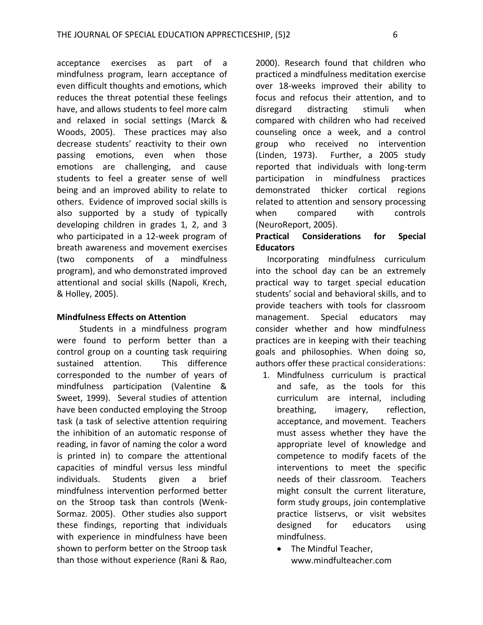acceptance exercises as part of a mindfulness program, learn acceptance of even difficult thoughts and emotions, which reduces the threat potential these feelings have, and allows students to feel more calm and relaxed in social settings (Marck & Woods, 2005). These practices may also decrease students' reactivity to their own passing emotions, even when those emotions are challenging, and cause students to feel a greater sense of well being and an improved ability to relate to others. Evidence of improved social skills is also supported by a study of typically developing children in grades 1, 2, and 3 who participated in a 12-week program of breath awareness and movement exercises (two components of a mindfulness program), and who demonstrated improved attentional and social skills (Napoli, Krech, & Holley, 2005).

#### **Mindfulness Effects on Attention**

Students in a mindfulness program were found to perform better than a control group on a counting task requiring sustained attention. This difference corresponded to the number of years of mindfulness participation (Valentine & Sweet, 1999). Several studies of attention have been conducted employing the Stroop task (a task of selective attention requiring the inhibition of an automatic response of reading, in favor of naming the color a word is printed in) to compare the attentional capacities of mindful versus less mindful individuals. Students given a brief mindfulness intervention performed better on the Stroop task than controls (Wenk-Sormaz. 2005). Other studies also support these findings, reporting that individuals with experience in mindfulness have been shown to perform better on the Stroop task than those without experience (Rani & Rao,

2000). Research found that children who practiced a mindfulness meditation exercise over 18-weeks improved their ability to focus and refocus their attention, and to disregard distracting stimuli when compared with children who had received counseling once a week, and a control group who received no intervention (Linden, 1973). Further, a 2005 study reported that individuals with long-term participation in mindfulness practices demonstrated thicker cortical regions related to attention and sensory processing when compared with controls (NeuroReport, 2005).

## **Practical Considerations for Special Educators**

Incorporating mindfulness curriculum into the school day can be an extremely practical way to target special education students' social and behavioral skills, and to provide teachers with tools for classroom management. Special educators may consider whether and how mindfulness practices are in keeping with their teaching goals and philosophies. When doing so, authors offer these practical considerations:

- 1. Mindfulness curriculum is practical and safe, as the tools for this curriculum are internal, including breathing, imagery, reflection, acceptance, and movement. Teachers must assess whether they have the appropriate level of knowledge and competence to modify facets of the interventions to meet the specific needs of their classroom. Teachers might consult the current literature, form study groups, join contemplative practice listservs, or visit websites designed for educators using mindfulness.
	- The Mindful Teacher, www.mindfulteacher.com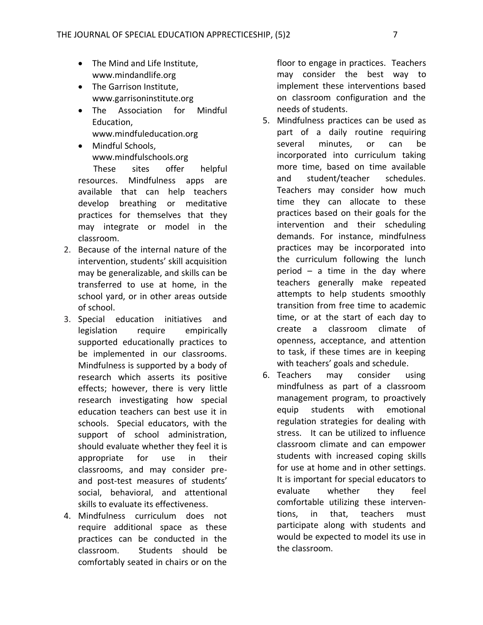- The Mind and Life Institute, www.mindandlife.org
- The Garrison Institute, www.garrisoninstitute.org
- The Association for Mindful Education, www.mindfuleducation.org
- Mindful Schools, www.mindfulschools.org

 These sites offer helpful resources. Mindfulness apps are available that can help teachers develop breathing or meditative practices for themselves that they may integrate or model in the classroom.

- 2. Because of the internal nature of the intervention, students' skill acquisition may be generalizable, and skills can be transferred to use at home, in the school yard, or in other areas outside of school.
- 3. Special education initiatives and legislation require empirically supported educationally practices to be implemented in our classrooms. Mindfulness is supported by a body of research which asserts its positive effects; however, there is very little research investigating how special education teachers can best use it in schools. Special educators, with the support of school administration, should evaluate whether they feel it is appropriate for use in their classrooms, and may consider preand post-test measures of students' social, behavioral, and attentional skills to evaluate its effectiveness.
- 4. Mindfulness curriculum does not require additional space as these practices can be conducted in the classroom. Students should be comfortably seated in chairs or on the

floor to engage in practices. Teachers may consider the best way to implement these interventions based on classroom configuration and the needs of students.

- 5. Mindfulness practices can be used as part of a daily routine requiring several minutes, or can be incorporated into curriculum taking more time, based on time available and student/teacher schedules. Teachers may consider how much time they can allocate to these practices based on their goals for the intervention and their scheduling demands. For instance, mindfulness practices may be incorporated into the curriculum following the lunch period – a time in the day where teachers generally make repeated attempts to help students smoothly transition from free time to academic time, or at the start of each day to create a classroom climate of openness, acceptance, and attention to task, if these times are in keeping with teachers' goals and schedule.
- 6. Teachers may consider using mindfulness as part of a classroom management program, to proactively equip students with emotional regulation strategies for dealing with stress. It can be utilized to influence classroom climate and can empower students with increased coping skills for use at home and in other settings. It is important for special educators to evaluate whether they feel comfortable utilizing these interventions, in that, teachers must participate along with students and would be expected to model its use in the classroom.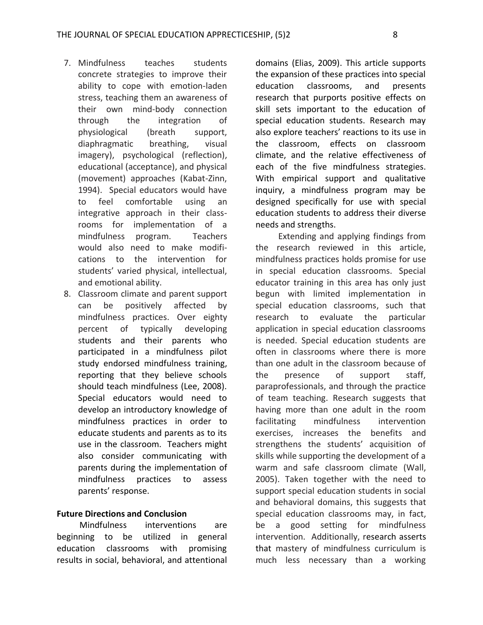- 7. Mindfulness teaches students concrete strategies to improve their ability to cope with emotion-laden stress, teaching them an awareness of their own mind-body connection through the integration of physiological (breath support, diaphragmatic breathing, visual imagery), psychological (reflection), educational (acceptance), and physical (movement) approaches (Kabat-Zinn, 1994). Special educators would have to feel comfortable using an integrative approach in their classrooms for implementation of a mindfulness program. Teachers would also need to make modifications to the intervention for students' varied physical, intellectual, and emotional ability.
- 8. Classroom climate and parent support can be positively affected by mindfulness practices. Over eighty percent of typically developing students and their parents who participated in a mindfulness pilot study endorsed mindfulness training, reporting that they believe schools should teach mindfulness (Lee, 2008). Special educators would need to develop an introductory knowledge of mindfulness practices in order to educate students and parents as to its use in the classroom. Teachers might also consider communicating with parents during the implementation of mindfulness practices to assess parents' response.

## **Future Directions and Conclusion**

Mindfulness interventions are beginning to be utilized in general education classrooms with promising results in social, behavioral, and attentional domains (Elias, 2009). This article supports the expansion of these practices into special education classrooms, and presents research that purports positive effects on skill sets important to the education of special education students. Research may also explore teachers' reactions to its use in the classroom, effects on classroom climate, and the relative effectiveness of each of the five mindfulness strategies. With empirical support and qualitative inquiry, a mindfulness program may be designed specifically for use with special education students to address their diverse needs and strengths.

Extending and applying findings from the research reviewed in this article, mindfulness practices holds promise for use in special education classrooms. Special educator training in this area has only just begun with limited implementation in special education classrooms, such that research to evaluate the particular application in special education classrooms is needed. Special education students are often in classrooms where there is more than one adult in the classroom because of the presence of support staff, paraprofessionals, and through the practice of team teaching. Research suggests that having more than one adult in the room facilitating mindfulness intervention exercises, increases the benefits and strengthens the students' acquisition of skills while supporting the development of a warm and safe classroom climate (Wall, 2005). Taken together with the need to support special education students in social and behavioral domains, this suggests that special education classrooms may, in fact, be a good setting for mindfulness intervention. Additionally, research asserts that mastery of mindfulness curriculum is much less necessary than a working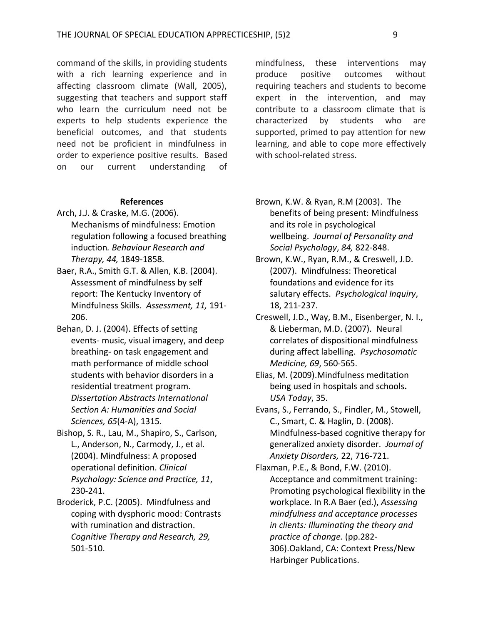command of the skills, in providing students with a rich learning experience and in affecting classroom climate (Wall, 2005), suggesting that teachers and support staff who learn the curriculum need not be experts to help students experience the beneficial outcomes, and that students need not be proficient in mindfulness in order to experience positive results. Based on our current understanding of

#### **References**

- Arch, J.J. & Craske, M.G. (2006). Mechanisms of mindfulness: Emotion regulation following a focused breathing induction*. Behaviour Research and Therapy, 44,* 1849-1858.
- Baer, R.A., Smith G.T. & Allen, K.B. (2004). Assessment of mindfulness by self report: The Kentucky Inventory of Mindfulness Skills. *Assessment, 11,* 191- 206.
- Behan, D. J. (2004). Effects of setting events- music, visual imagery, and deep breathing- on task engagement and math performance of middle school students with behavior disorders in a residential treatment program. *Dissertation Abstracts International Section A: Humanities and Social Sciences, 65*(4-A), 1315.
- Bishop, S. R., Lau, M., Shapiro, S., Carlson, L., Anderson, N., Carmody, J., et al. (2004). Mindfulness: A proposed operational definition. *Clinical Psychology: Science and Practice, 11*, 230-241.
- Broderick, P.C. (2005). Mindfulness and coping with dysphoric mood: Contrasts with rumination and distraction. *Cognitive Therapy and Research, 29,* 501-510.

mindfulness, these interventions may produce positive outcomes without requiring teachers and students to become expert in the intervention, and may contribute to a classroom climate that is characterized by students who are supported, primed to pay attention for new learning, and able to cope more effectively with school-related stress.

- Brown, K.W. & Ryan, R.M (2003). The benefits of being present: Mindfulness and its role in psychological wellbeing. *Journal of Personality and Social Psychology*, *84,* 822-848.
- Brown, K.W., Ryan, R.M., & Creswell, J.D. (2007). Mindfulness: Theoretical foundations and evidence for its salutary effects. *Psychological Inquiry*, 18, 211-237.
- Creswell, J.D., Way, B.M., Eisenberger, N. I., & Lieberman, M.D. (2007). Neural correlates of dispositional mindfulness during affect labelling. *Psychosomatic Medicine, 69*, 560-565.
- Elias, M. (2009).Mindfulness meditation being used in hospitals and schools**.**  *USA Today*, 35.
- Evans, S., Ferrando, S., Findler, M., Stowell, C., Smart, C. & Haglin, D. (2008). Mindfulness-based cognitive therapy for generalized anxiety disorder. *Journal of Anxiety Disorders,* 22, 716-721.
- Flaxman, P.E., & Bond, F.W. (2010). Acceptance and commitment training: Promoting psychological flexibility in the workplace. In R.A Baer (ed.), *Assessing mindfulness and acceptance processes in clients: Illuminating the theory and practice of change.* (pp.282- 306).Oakland, CA: Context Press/New Harbinger Publications.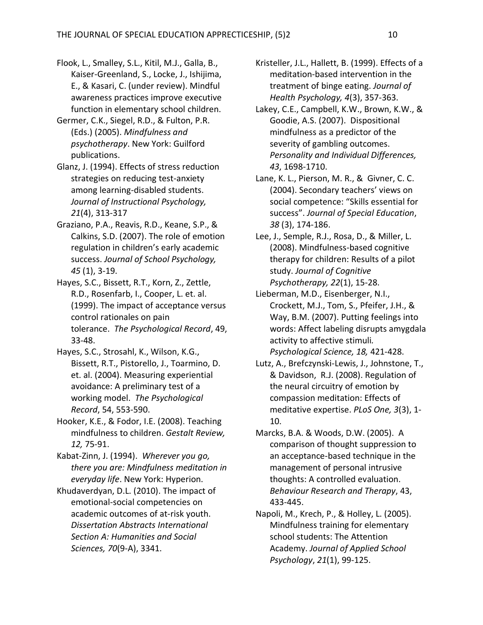- Flook, L., Smalley, S.L., Kitil, M.J., Galla, B., Kaiser-Greenland, S., Locke, J., Ishijima, E., & Kasari, C. (under review). Mindful awareness practices improve executive function in elementary school children.
- Germer, C.K., Siegel, R.D., & Fulton, P.R. (Eds.) (2005). *Mindfulness and psychotherapy*. New York: Guilford publications.
- Glanz, J. (1994). Effects of stress reduction strategies on reducing test-anxiety among learning-disabled students. *Journal of Instructional Psychology, 21*(4), 313-317
- Graziano, P.A., Reavis, R.D., Keane, S.P., & Calkins, S.D. (2007). The role of emotion regulation in children's early academic success. *Journal of School Psychology, 45* (1), 3-19.
- Hayes, S.C., Bissett, R.T., Korn, Z., Zettle, R.D., Rosenfarb, I., Cooper, L. et. al. (1999). The impact of acceptance versus control rationales on pain tolerance. *The Psychological Record*, 49, 33-48.
- Hayes, S.C., Strosahl, K., Wilson, K.G., Bissett, R.T., Pistorello, J., Toarmino, D. et. al. (2004). Measuring experiential avoidance: A preliminary test of a working model. *The Psychological Record*, 54, 553-590.
- Hooker, K.E., & Fodor, I.E. (2008). Teaching mindfulness to children. *Gestalt Review, 12,* 75-91.
- Kabat-Zinn, J. (1994). *Wherever you go, there you are: Mindfulness meditation in everyday life*. New York: Hyperion.

Khudaverdyan, D.L. (2010). The impact of emotional-social competencies on academic outcomes of at-risk youth. *Dissertation Abstracts International Section A: Humanities and Social Sciences, 70*(9-A), 3341.

- Kristeller, J.L., Hallett, B. (1999). Effects of a meditation-based intervention in the treatment of binge eating. *Journal of Health Psychology, 4*(3), 357-363.
- Lakey, C.E., Campbell, K.W., Brown, K.W., & Goodie, A.S. (2007). Dispositional mindfulness as a predictor of the severity of gambling outcomes. *Personality and Individual Differences, 43*, 1698-1710.
- Lane, K. L., Pierson, M. R., & Givner, C. C. (2004). Secondary teachers' views on social competence: "Skills essential for success". *Journal of Special Education*, *38* (3), 174-186.
- Lee, J., Semple, R.J., Rosa, D., & Miller, L. (2008). Mindfulness-based cognitive therapy for children: Results of a pilot study. *Journal of Cognitive Psychotherapy, 22*(1), 15-28.
- Lieberman, M.D., Eisenberger, N.I., Crockett, M.J., Tom, S., Pfeifer, J.H., & Way, B.M. (2007). Putting feelings into words: Affect labeling disrupts amygdala activity to affective stimuli*. Psychological Science, 18,* 421-428.
- Lutz, A., [Brefczynski-Lewis, J.](http://www.ncbi.nlm.nih.gov/pubmed?term=%22Brefczynski-Lewis%20J%22%5BAuthor%5D), [Johnstone, T.](http://www.ncbi.nlm.nih.gov/pubmed?term=%22Johnstone%20T%22%5BAuthor%5D), & [Davidson, R.J.](http://www.ncbi.nlm.nih.gov/pubmed?term=%22Davidson%20RJ%22%5BAuthor%5D) (2008). Regulation of the neural circuitry of emotion by compassion meditation: Effects of meditative expertise. *PLoS One, 3*(3), 1- 10.
- Marcks, B.A. & Woods, D.W. (2005). A comparison of thought suppression to an acceptance-based technique in the management of personal intrusive thoughts: A controlled evaluation. *Behaviour Research and Therapy*, 43, 433-445.
- Napoli, M., Krech, P., & Holley, L. (2005). Mindfulness training for elementary school students: The Attention Academy. *Journal of Applied School Psychology*, *21*(1), 99-125.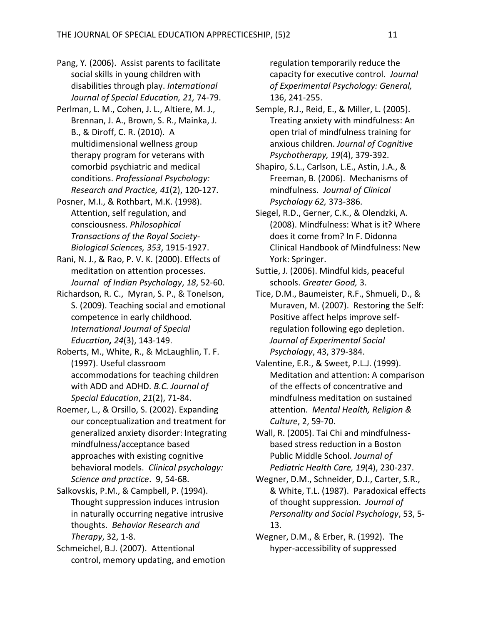- Pang, Y*.* (2006). Assist parents to facilitate social skills in young children with disabilities through play. *International Journal of Special Education, 21,* 74-79.
- Perlman, L. M., Cohen, J. L., Altiere, M. J., Brennan, J. A., Brown, S. R., Mainka, J. B., & Diroff, C. R. (2010). A multidimensional wellness group therapy program for veterans with comorbid psychiatric and medical conditions. *Professional Psychology: Research and Practice, 41*(2), 120-127.
- Posner, M.I., & Rothbart, M.K. (1998). Attention, self regulation, and consciousness. *Philosophical Transactions of the Royal Society-Biological Sciences, 353*, 1915-1927.
- Rani, N. J., & Rao, P. V. K. (2000). Effects of meditation on attention processes. *Journal of Indian Psychology*, *18*, 52-60.
- Richardson, R. C., Myran, S. P., & Tonelson, S. (2009). Teaching social and emotional competence in early childhood. *International Journal of Special Education, 24*(3), 143-149.
- Roberts, M., White, R., & McLaughlin, T. F. (1997). Useful classroom accommodations for teaching children with ADD and ADHD*. B.C. Journal of Special Education*, *21*(2), 71-84.
- Roemer, L., & Orsillo, S. (2002). Expanding our conceptualization and treatment for generalized anxiety disorder: Integrating mindfulness/acceptance based approaches with existing cognitive behavioral models. *Clinical psychology: Science and practice*. 9, 54-68.
- Salkovskis, P.M., & Campbell, P. (1994). Thought suppression induces intrusion in naturally occurring negative intrusive thoughts. *Behavior Research and Therapy*, 32, 1-8.
- Schmeichel, B.J. (2007). Attentional control, memory updating, and emotion

regulation temporarily reduce the capacity for executive control. *Journal of Experimental Psychology: General,* 136, 241-255.

- Semple, R.J., Reid, E., & Miller, L. (2005). Treating anxiety with mindfulness: An open trial of mindfulness training for anxious children. *Journal of Cognitive Psychotherapy, 19*(4), 379-392.
- Shapiro, S.L., Carlson, L.E., Astin, J.A., & Freeman, B. (2006). Mechanisms of mindfulness. *Journal of Clinical Psychology 62,* 373-386.
- Siegel, R.D., Gerner, C.K., & Olendzki, A. (2008). Mindfulness: What is it? Where does it come from? In F. Didonna Clinical Handbook of Mindfulness: New York: Springer.
- Suttie, J. (2006). Mindful kids, peaceful schools. *Greater Good,* 3.
- Tice, D.M., Baumeister, R.F., Shmueli, D., & Muraven, M. (2007). Restoring the Self: Positive affect helps improve selfregulation following ego depletion. *Journal of Experimental Social Psychology*, 43, 379-384.
- Valentine, E.R., & Sweet, P.L.J. (1999). Meditation and attention: A comparison of the effects of concentrative and mindfulness meditation on sustained attention. *Mental Health, Religion & Culture*, 2, 59-70.
- Wall, R. (2005). Tai Chi and mindfulnessbased stress reduction in a Boston Public Middle School. *Journal of Pediatric Health Care, 19*(4), 230-237.
- Wegner, D.M., Schneider, D.J., Carter, S.R., & White, T.L. (1987). Paradoxical effects of thought suppression. *Journal of Personality and Social Psychology*, 53, 5- 13.
- Wegner, D.M., & Erber, R. (1992). The hyper-accessibility of suppressed